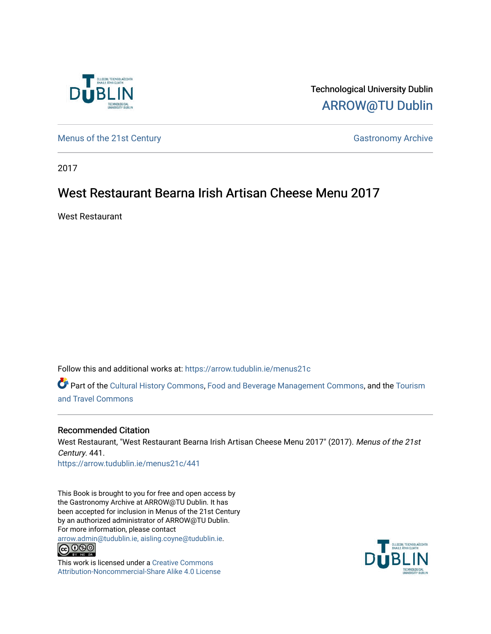

Technological University Dublin [ARROW@TU Dublin](https://arrow.tudublin.ie/) 

[Menus of the 21st Century](https://arrow.tudublin.ie/menus21c) Gastronomy Archive

2017

# West Restaurant Bearna Irish Artisan Cheese Menu 2017

West Restaurant

Follow this and additional works at: [https://arrow.tudublin.ie/menus21c](https://arrow.tudublin.ie/menus21c?utm_source=arrow.tudublin.ie%2Fmenus21c%2F441&utm_medium=PDF&utm_campaign=PDFCoverPages) 

Part of the [Cultural History Commons](http://network.bepress.com/hgg/discipline/496?utm_source=arrow.tudublin.ie%2Fmenus21c%2F441&utm_medium=PDF&utm_campaign=PDFCoverPages), [Food and Beverage Management Commons,](http://network.bepress.com/hgg/discipline/1089?utm_source=arrow.tudublin.ie%2Fmenus21c%2F441&utm_medium=PDF&utm_campaign=PDFCoverPages) and the [Tourism](http://network.bepress.com/hgg/discipline/1082?utm_source=arrow.tudublin.ie%2Fmenus21c%2F441&utm_medium=PDF&utm_campaign=PDFCoverPages) [and Travel Commons](http://network.bepress.com/hgg/discipline/1082?utm_source=arrow.tudublin.ie%2Fmenus21c%2F441&utm_medium=PDF&utm_campaign=PDFCoverPages)

#### Recommended Citation

West Restaurant, "West Restaurant Bearna Irish Artisan Cheese Menu 2017" (2017). Menus of the 21st Century. 441. [https://arrow.tudublin.ie/menus21c/441](https://arrow.tudublin.ie/menus21c/441?utm_source=arrow.tudublin.ie%2Fmenus21c%2F441&utm_medium=PDF&utm_campaign=PDFCoverPages) 

This Book is brought to you for free and open access by the Gastronomy Archive at ARROW@TU Dublin. It has been accepted for inclusion in Menus of the 21st Century by an authorized administrator of ARROW@TU Dublin. For more information, please contact

[arrow.admin@tudublin.ie, aisling.coyne@tudublin.ie](mailto:arrow.admin@tudublin.ie,%20aisling.coyne@tudublin.ie).<br>
© 0 9 9 1



This work is licensed under a [Creative Commons](http://creativecommons.org/licenses/by-nc-sa/4.0/) [Attribution-Noncommercial-Share Alike 4.0 License](http://creativecommons.org/licenses/by-nc-sa/4.0/)

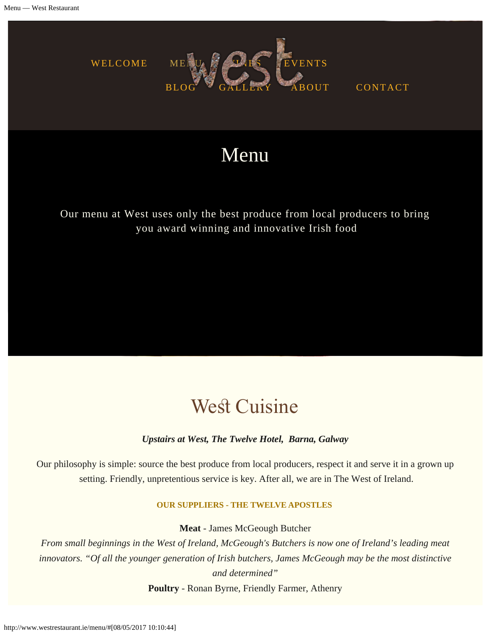<span id="page-1-0"></span>

CONTACT

# Menu

Our menu at West uses only the best produce from local producers to bring you award winning and innovative Irish food

# **West Cuisine**

#### *Upstairs at West, The Twelve Hotel, Barna, Galway*

Our philosophy is simple: source the best produce from local producers, respect it and serve it in a grown up setting. Friendly, unpretentious service is key. After all, we are in The West of Ireland.

#### **OUR SUPPLIERS - THE TWELVE APOSTLES**

**Meat** - James McGeough Butcher

*From small beginnings in the West of Ireland, McGeough's Butchers is now one of Ireland's leading meat innovators. "Of all the younger generation of Irish butchers, James McGeough may be the most distinctive and determined"*

**Poultry** - Ronan Byrne, Friendly Farmer, Athenry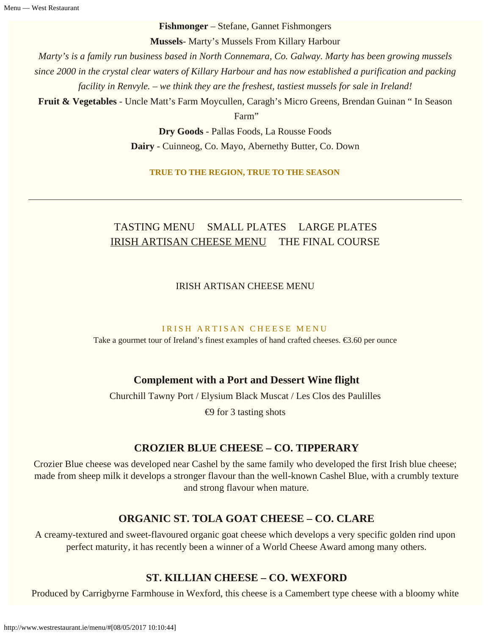**Fishmonger** – Stefane, Gannet Fishmongers

**Mussels**- Marty's Mussels From Killary Harbour

*Marty's is a family run business based in North Connemara, Co. Galway. Marty has been growing mussels since 2000 in the crystal clear waters of Killary Harbour and has now established a purification and packing facility in Renvyle. – we think they are the freshest, tastiest mussels for sale in Ireland!*

**Fruit & Vegetables** - Uncle Matt's Farm Moycullen, Caragh's Micro Greens, Brendan Guinan " In Season

Farm"

**Dry Goods** - Pallas Foods, La Rousse Foods **Dairy** - Cuinneog, Co. Mayo, Abernethy Butter, Co. Down

**TRUE TO THE REGION, TRUE TO THE SEASON**

# TASTING MENU SMALL PLATES LARGE PLATES IRISH ARTISAN CHEESE MENU THE FINAL COURSE

IRISH ARTISAN CHEESE MENU

#### IRISH ARTISAN CHEESE MENU

Take a gourmet tour of Ireland's finest examples of hand crafted cheeses. €3.60 per ounce

## **Complement with a Port and Dessert Wine flight**

Churchill Tawny Port / Elysium Black Muscat / Les Clos des Paulilles  $\Theta$  for 3 tasting shots

## **CROZIER BLUE CHEESE – CO. TIPPERARY**

Crozier Blue cheese was developed near Cashel by the same family who developed the first Irish blue cheese; made from sheep milk it develops a stronger flavour than the well-known Cashel Blue, with a crumbly texture and strong flavour when mature.

## **ORGANIC ST. TOLA GOAT CHEESE – CO. CLARE**

A creamy-textured and sweet-flavoured organic goat cheese which develops a very specific golden rind upon perfect maturity, it has recently been a winner of a World Cheese Award among many others.

## **ST. KILLIAN CHEESE – CO. WEXFORD**

Produced by Carrigbyrne Farmhouse in Wexford, this cheese is a Camembert type cheese with a bloomy white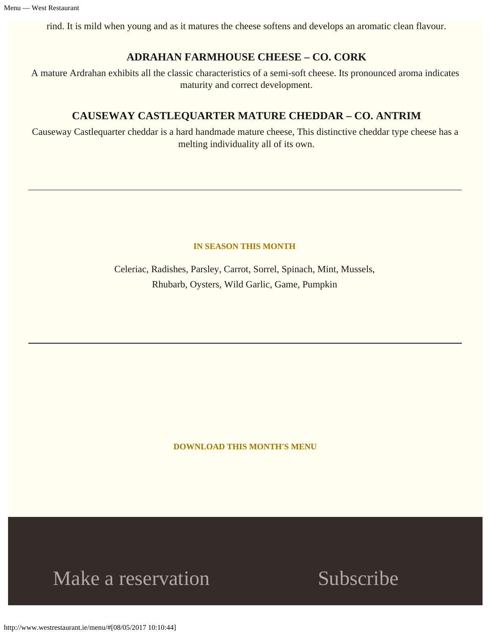rind. It is mild when young and as it matures the cheese softens and develops an aromatic clean flavour.

### **ADRAHAN FARMHOUSE CHEESE – CO. CORK**

A mature Ardrahan exhibits all the classic characteristics of a semi-soft cheese. Its pronounced aroma indicates maturity and correct development.

### **CAUSEWAY CASTLEQUARTER MATURE CHEDDAR – CO. ANTRIM**

Causeway Castlequarter cheddar is a hard handmade mature cheese, This distinctive cheddar type cheese has a melting individuality all of its own.

#### **IN SEASON THIS MONTH**

Celeriac, Radishes, Parsley, Carrot, Sorrel, Spinach, Mint, Mussels, Rhubarb, Oysters, Wild Garlic, Game, Pumpkin

**[DOWNLOAD THIS MONTH'S MENU](#page-1-0)**

# Make a reservation Subscribe